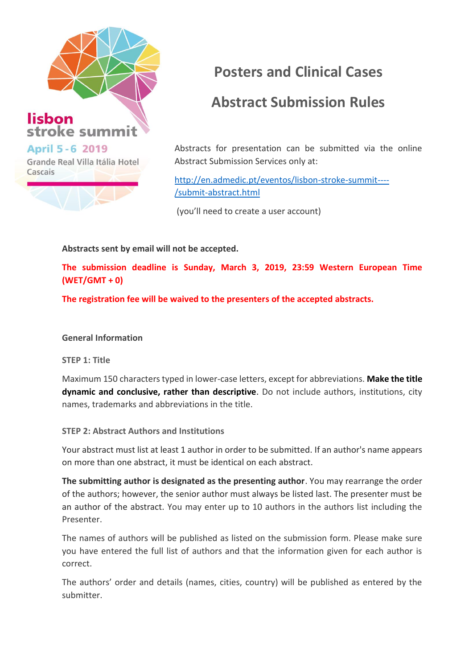

# **Posters and Clinical Cases**

## **Abstract Submission Rules**

Abstracts for presentation can be submitted via the online Abstract Submission Services only at:

http://en.admedic.pt/eventos/lisbon-stroke-summit---- /submit-abstract.html

(you'll need to create a user account)

### **Abstracts sent by email will not be accepted.**

**The submission deadline is Sunday, March 3, 2019, 23:59 Western European Time (WET/GMT + 0)**

**The registration fee will be waived to the presenters of the accepted abstracts.**

#### **General Information**

**STEP 1: Title**

Maximum 150 characters typed in lower-case letters, except for abbreviations. **Make the title dynamic and conclusive, rather than descriptive**. Do not include authors, institutions, city names, trademarks and abbreviations in the title.

#### **STEP 2: Abstract Authors and Institutions**

Your abstract must list at least 1 author in order to be submitted. If an author's name appears on more than one abstract, it must be identical on each abstract.

**The submitting author is designated as the presenting author**. You may rearrange the order of the authors; however, the senior author must always be listed last. The presenter must be an author of the abstract. You may enter up to 10 authors in the authors list including the Presenter.

The names of authors will be published as listed on the submission form. Please make sure you have entered the full list of authors and that the information given for each author is correct.

The authors' order and details (names, cities, country) will be published as entered by the submitter.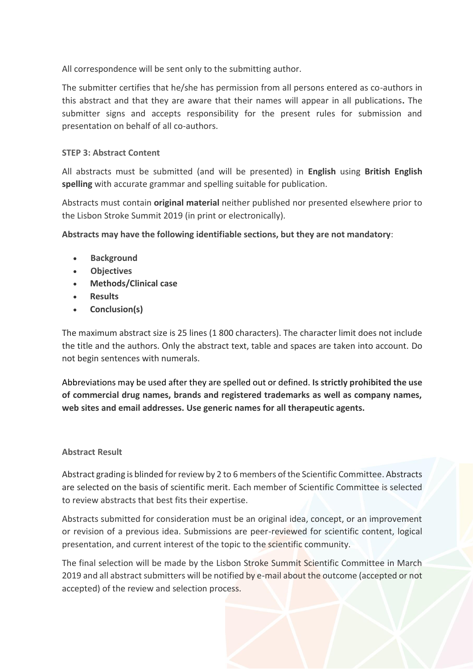All correspondence will be sent only to the submitting author.

The submitter certifies that he/she has permission from all persons entered as co-authors in this abstract and that they are aware that their names will appear in all publications**.** The submitter signs and accepts responsibility for the present rules for submission and presentation on behalf of all co-authors.

#### **STEP 3: Abstract Content**

All abstracts must be submitted (and will be presented) in **English** using **British English spelling** with accurate grammar and spelling suitable for publication.

Abstracts must contain **original material** neither published nor presented elsewhere prior to the Lisbon Stroke Summit 2019 (in print or electronically).

**Abstracts may have the following identifiable sections, but they are not mandatory**:

- **Background**
- **Objectives**
- **Methods/Clinical case**
- **Results**
- **Conclusion(s)**

The maximum abstract size is 25 lines (1 800 characters). The character limit does not include the title and the authors. Only the abstract text, table and spaces are taken into account. Do not begin sentences with numerals.

Abbreviations may be used after they are spelled out or defined. **Is strictly prohibited the use of commercial drug names, brands and registered trademarks as well as company names, web sites and email addresses. Use generic names for all therapeutic agents.** 

#### **Abstract Result**

Abstract grading is blinded for review by 2 to 6 members of the Scientific Committee. Abstracts are selected on the basis of scientific merit. Each member of Scientific Committee is selected to review abstracts that best fits their expertise.

Abstracts submitted for consideration must be an original idea, concept, or an improvement or revision of a previous idea. Submissions are peer-reviewed for scientific content, logical presentation, and current interest of the topic to the scientific community.

The final selection will be made by the Lisbon Stroke Summit Scientific Committee in March 2019 and all abstract submitters will be notified by e-mail about the outcome (accepted or not accepted) of the review and selection process.